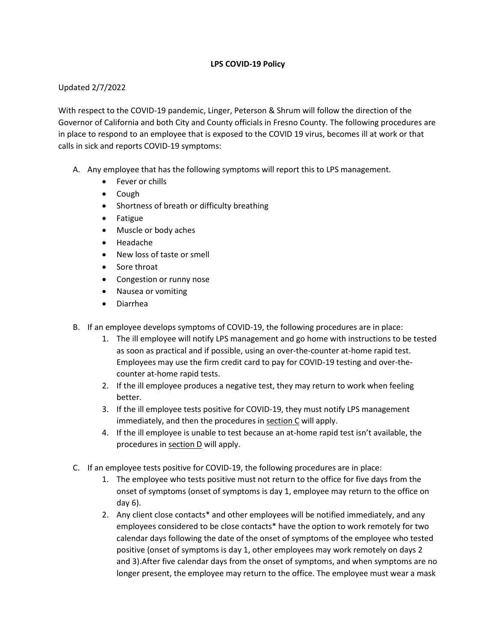## **LPS COVID-19 Policy**

## Updated 2/7/2022

With respect to the COVID-19 pandemic, Linger, Peterson & Shrum will follow the direction of the Governor of California and both City and County officials in Fresno County. The following procedures are in place to respond to an employee that is exposed to the COVID 19 virus, becomes ill at work or that calls in sick and reports COVID-19 symptoms:

- A. Any employee that has the following symptoms will report this to LPS management.
	- Fever or chills
	- Cough
	- Shortness of breath or difficulty breathing
	- Fatigue
	- Muscle or body aches
	- Headache
	- New loss of taste or smell
	- Sore throat
	- Congestion or runny nose
	- Nausea or vomiting
	- Diarrhea
- B. If an employee develops symptoms of COVID-19, the following procedures are in place:
	- 1. The ill employee will notify LPS management and go home with instructions to be tested as soon as practical and if possible, using an over-the-counter at-home rapid test. Employees may use the firm credit card to pay for COVID-19 testing and over-thecounter at-home rapid tests.
	- 2. If the ill employee produces a negative test, they may return to work when feeling better.
	- 3. If the ill employee tests positive for COVID-19, they must notify LPS management immediately, and then the procedures in section  $C$  will apply.
	- 4. If the ill employee is unable to test because an at-home rapid test isn't available, the procedures in section D will apply.
- C. If an employee tests positive for COVID-19, the following procedures are in place:
	- 1. The employee who tests positive must not return to the office for five days from the onset of symptoms (onset of symptoms is day 1, employee may return to the office on day 6).
	- 2. Any client close contacts\* and other employees will be notified immediately, and any employees considered to be close contacts\* have the option to work remotely for two calendar days following the date of the onset of symptoms of the employee who tested positive (onset of symptoms is day 1, other employees may work remotely on days 2 and 3).After five calendar days from the onset of symptoms, and when symptoms are no longer present, the employee may return to the office. The employee must wear a mask